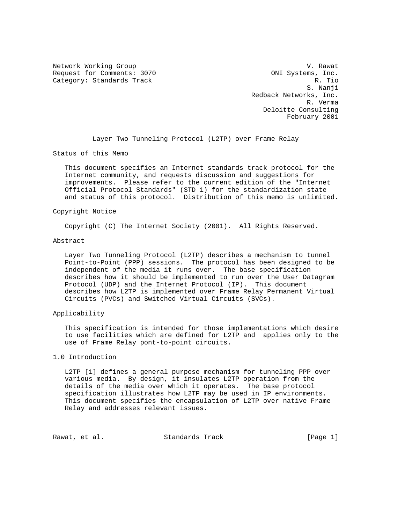Network Working Group variations of the U.S. Contract of the U.S. Contract of the U.S. Contract of the U.S. Contract of the U.S. Contract of the U.S. Contract of the U.S. Contract of the U.S. Contract of the U.S. Contract Request for Comments: 3070 ONI Systems, Inc.<br>Category: Standards Track R. Tio Category: Standards Track

 S. Nanji Redback Networks, Inc. R. Verma Deloitte Consulting February 2001

Layer Two Tunneling Protocol (L2TP) over Frame Relay

Status of this Memo

 This document specifies an Internet standards track protocol for the Internet community, and requests discussion and suggestions for improvements. Please refer to the current edition of the "Internet Official Protocol Standards" (STD 1) for the standardization state and status of this protocol. Distribution of this memo is unlimited.

#### Copyright Notice

Copyright (C) The Internet Society (2001). All Rights Reserved.

#### Abstract

 Layer Two Tunneling Protocol (L2TP) describes a mechanism to tunnel Point-to-Point (PPP) sessions. The protocol has been designed to be independent of the media it runs over. The base specification describes how it should be implemented to run over the User Datagram Protocol (UDP) and the Internet Protocol (IP). This document describes how L2TP is implemented over Frame Relay Permanent Virtual Circuits (PVCs) and Switched Virtual Circuits (SVCs).

# Applicability

 This specification is intended for those implementations which desire to use facilities which are defined for L2TP and applies only to the use of Frame Relay pont-to-point circuits.

# 1.0 Introduction

 L2TP [1] defines a general purpose mechanism for tunneling PPP over various media. By design, it insulates L2TP operation from the details of the media over which it operates. The base protocol specification illustrates how L2TP may be used in IP environments. This document specifies the encapsulation of L2TP over native Frame Relay and addresses relevant issues.

Rawat, et al. Standards Track [Page 1]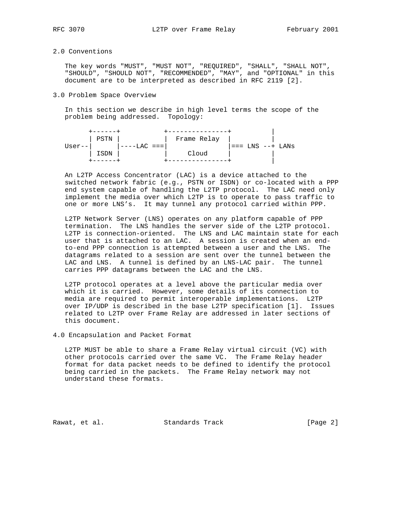# 2.0 Conventions

 The key words "MUST", "MUST NOT", "REQUIRED", "SHALL", "SHALL NOT", "SHOULD", "SHOULD NOT", "RECOMMENDED", "MAY", and "OPTIONAL" in this document are to be interpreted as described in RFC 2119 [2].

### 3.0 Problem Space Overview

 In this section we describe in high level terms the scope of the problem being addressed. Topology:

| -----       |                |                      |  |
|-------------|----------------|----------------------|--|
| PSTN        | Frame Relay    |                      |  |
| User--      | '----LAC === 1 | $i ==$ LNS $--$ LANS |  |
| <b>ISDN</b> | Cloud          |                      |  |
|             |                |                      |  |

 An L2TP Access Concentrator (LAC) is a device attached to the switched network fabric (e.g., PSTN or ISDN) or co-located with a PPP end system capable of handling the L2TP protocol. The LAC need only implement the media over which L2TP is to operate to pass traffic to one or more LNS's. It may tunnel any protocol carried within PPP.

 L2TP Network Server (LNS) operates on any platform capable of PPP termination. The LNS handles the server side of the L2TP protocol. L2TP is connection-oriented. The LNS and LAC maintain state for each user that is attached to an LAC. A session is created when an end to-end PPP connection is attempted between a user and the LNS. The datagrams related to a session are sent over the tunnel between the LAC and LNS. A tunnel is defined by an LNS-LAC pair. The tunnel carries PPP datagrams between the LAC and the LNS.

 L2TP protocol operates at a level above the particular media over which it is carried. However, some details of its connection to media are required to permit interoperable implementations. L2TP over IP/UDP is described in the base L2TP specification [1]. Issues related to L2TP over Frame Relay are addressed in later sections of this document.

## 4.0 Encapsulation and Packet Format

 L2TP MUST be able to share a Frame Relay virtual circuit (VC) with other protocols carried over the same VC. The Frame Relay header format for data packet needs to be defined to identify the protocol being carried in the packets. The Frame Relay network may not understand these formats.

Rawat, et al. Standards Track [Page 2]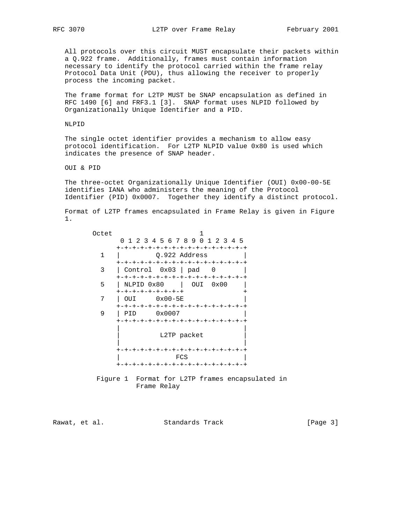All protocols over this circuit MUST encapsulate their packets within a Q.922 frame. Additionally, frames must contain information necessary to identify the protocol carried within the frame relay Protocol Data Unit (PDU), thus allowing the receiver to properly process the incoming packet.

 The frame format for L2TP MUST be SNAP encapsulation as defined in RFC 1490 [6] and FRF3.1 [3]. SNAP format uses NLPID followed by Organizationally Unique Identifier and a PID.

NLPID

 The single octet identifier provides a mechanism to allow easy protocol identification. For L2TP NLPID value 0x80 is used which indicates the presence of SNAP header.

OUI & PID

 The three-octet Organizationally Unique Identifier (OUI) 0x00-00-5E identifies IANA who administers the meaning of the Protocol Identifier (PID) 0x0007. Together they identify a distinct protocol.

 Format of L2TP frames encapsulated in Frame Relay is given in Figure 1.

| Octet |                                     |  |  |
|-------|-------------------------------------|--|--|
|       | 0 1 2 3 4 5 6 7 8 9 0 1 2 3 4 5     |  |  |
|       | +-+-+-+-+-+-+-+-+-+-+-+-+-+-+-+-+-+ |  |  |
| 1     | Q.922 Address                       |  |  |
|       | +-+-+-+-+-+-+-+-+-+-+-+-+-+-+-+-+-+ |  |  |
| 3     | $Control$ $0x03$   $pad$            |  |  |
|       | +-+-+-+-+-+-+-+-+-+-+-+-+-+-+-+-+   |  |  |
| 5     | NLPID 0x80<br>OUI 0x00              |  |  |
|       | +-+-+-+-+-+-+-+-+                   |  |  |
| 7     | 0x00-5E<br>OUI                      |  |  |
|       | +-+-+-+-+-+-+-+-+-+-+-+-+-+-+-+-+-+ |  |  |
| 9     | 0x0007<br>PID                       |  |  |
|       | +-+-+-+-+-+-+-+-+-+-+-+-+-+-+-+-+-+ |  |  |
|       | L2TP packet                         |  |  |
|       |                                     |  |  |
|       | +-+-+-+-+-+-+-+-+-+-+-+-+-+-+-+-+-+ |  |  |
|       | FCS                                 |  |  |
|       | +-+-+-+-+-+-+-+-+-+-+-+-+-+-+-+-+-+ |  |  |

 Figure 1 Format for L2TP frames encapsulated in Frame Relay

Rawat, et al. Standards Track [Page 3]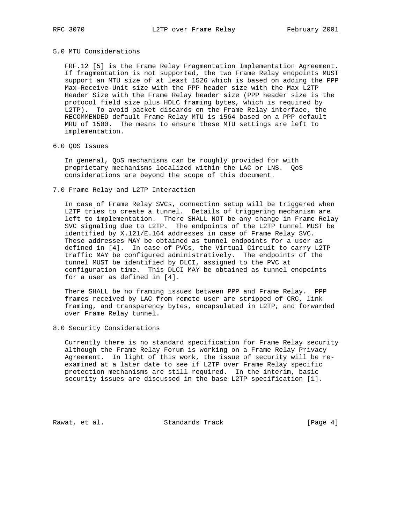### 5.0 MTU Considerations

FRF.12 [5] is the Frame Relay Fragmentation Implementation Agreement. If fragmentation is not supported, the two Frame Relay endpoints MUST support an MTU size of at least 1526 which is based on adding the PPP Max-Receive-Unit size with the PPP header size with the Max L2TP Header Size with the Frame Relay header size (PPP header size is the protocol field size plus HDLC framing bytes, which is required by L2TP). To avoid packet discards on the Frame Relay interface, the RECOMMENDED default Frame Relay MTU is 1564 based on a PPP default MRU of 1500. The means to ensure these MTU settings are left to implementation.

# 6.0 QOS Issues

 In general, QoS mechanisms can be roughly provided for with proprietary mechanisms localized within the LAC or LNS. QoS considerations are beyond the scope of this document.

### 7.0 Frame Relay and L2TP Interaction

 In case of Frame Relay SVCs, connection setup will be triggered when L2TP tries to create a tunnel. Details of triggering mechanism are left to implementation. There SHALL NOT be any change in Frame Relay SVC signaling due to L2TP. The endpoints of the L2TP tunnel MUST be identified by X.121/E.164 addresses in case of Frame Relay SVC. These addresses MAY be obtained as tunnel endpoints for a user as defined in [4]. In case of PVCs, the Virtual Circuit to carry L2TP traffic MAY be configured administratively. The endpoints of the tunnel MUST be identified by DLCI, assigned to the PVC at configuration time. This DLCI MAY be obtained as tunnel endpoints for a user as defined in [4].

 There SHALL be no framing issues between PPP and Frame Relay. PPP frames received by LAC from remote user are stripped of CRC, link framing, and transparency bytes, encapsulated in L2TP, and forwarded over Frame Relay tunnel.

8.0 Security Considerations

 Currently there is no standard specification for Frame Relay security although the Frame Relay Forum is working on a Frame Relay Privacy Agreement. In light of this work, the issue of security will be re examined at a later date to see if L2TP over Frame Relay specific protection mechanisms are still required. In the interim, basic security issues are discussed in the base L2TP specification [1].

Rawat, et al. Standards Track [Page 4]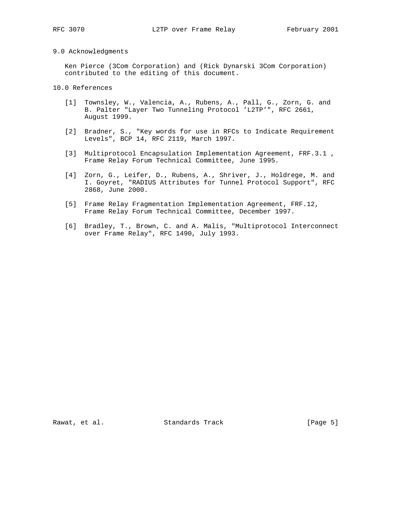## 9.0 Acknowledgments

 Ken Pierce (3Com Corporation) and (Rick Dynarski 3Com Corporation) contributed to the editing of this document.

# 10.0 References

- [1] Townsley, W., Valencia, A., Rubens, A., Pall, G., Zorn, G. and B. Palter "Layer Two Tunneling Protocol 'L2TP'", RFC 2661, August 1999.
- [2] Bradner, S., "Key words for use in RFCs to Indicate Requirement Levels", BCP 14, RFC 2119, March 1997.
- [3] Multiprotocol Encapsulation Implementation Agreement, FRF.3.1 , Frame Relay Forum Technical Committee, June 1995.
- [4] Zorn, G., Leifer, D., Rubens, A., Shriver, J., Holdrege, M. and I. Goyret, "RADIUS Attributes for Tunnel Protocol Support", RFC 2868, June 2000.
- [5] Frame Relay Fragmentation Implementation Agreement, FRF.12, Frame Relay Forum Technical Committee, December 1997.
- [6] Bradley, T., Brown, C. and A. Malis, "Multiprotocol Interconnect over Frame Relay", RFC 1490, July 1993.

Rawat, et al. Standards Track [Page 5]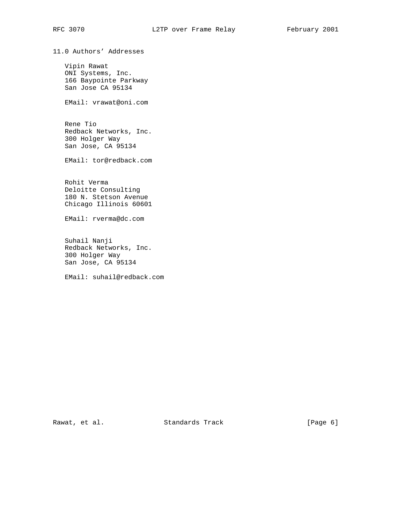11.0 Authors' Addresses

 Vipin Rawat ONI Systems, Inc. 166 Baypointe Parkway San Jose CA 95134

EMail: vrawat@oni.com

 Rene Tio Redback Networks, Inc. 300 Holger Way San Jose, CA 95134

EMail: tor@redback.com

 Rohit Verma Deloitte Consulting 180 N. Stetson Avenue Chicago Illinois 60601

EMail: rverma@dc.com

 Suhail Nanji Redback Networks, Inc. 300 Holger Way San Jose, CA 95134

EMail: suhail@redback.com

Rawat, et al. Standards Track [Page 6]